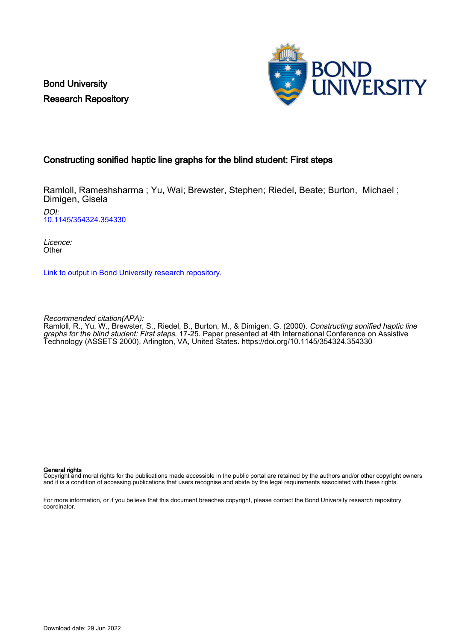Bond University Research Repository



# Constructing sonified haptic line graphs for the blind student: First steps

Ramloll, Rameshsharma ; Yu, Wai; Brewster, Stephen; Riedel, Beate; Burton, Michael ; Dimigen, Gisela DOI:

[10.1145/354324.354330](https://doi.org/10.1145/354324.354330)

Licence: **Other** 

[Link to output in Bond University research repository.](https://research.bond.edu.au/en/publications/67564a54-b8cd-4dbb-bf50-18911ea93566)

Recommended citation(APA):

Ramloll, R., Yu, W., Brewster, S., Riedel, B., Burton, M., & Dimigen, G. (2000). *Constructing sonified haptic line* graphs for the blind student: First steps. 17-25. Paper presented at 4th International Conference on Assistive Technology (ASSETS 2000), Arlington, VA, United States.<https://doi.org/10.1145/354324.354330>

#### General rights

Copyright and moral rights for the publications made accessible in the public portal are retained by the authors and/or other copyright owners and it is a condition of accessing publications that users recognise and abide by the legal requirements associated with these rights.

For more information, or if you believe that this document breaches copyright, please contact the Bond University research repository coordinator.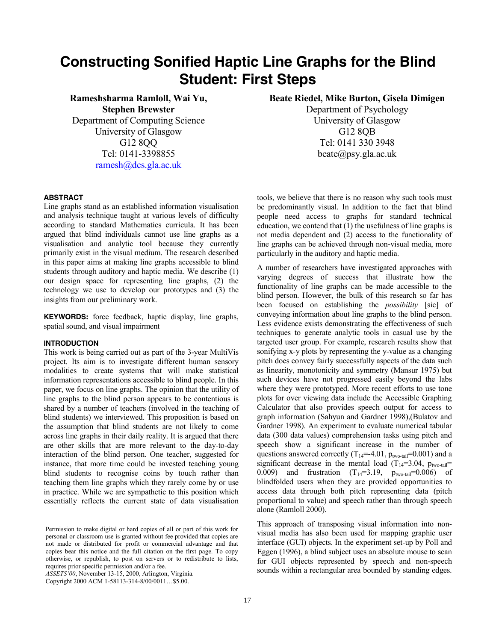# **Constructing Sonified Haptic Line Graphs for the Blind Student: First Steps**

**Rameshsharma Ramloll, Wai Yu, Stephen Brewster**  Department of Computing Science University of Glasgow G12 8OO Tel: 0141-3398855 ramesh@dcs.gla.ac.uk

# **Beate Riedel, Mike Burton, Gisela Dimigen**

Department of Psychology University of Glasgow G12 8QB Tel: 0141 330 3948 beate@psy.gla.ac.uk

# **ABSTRACT**

Line graphs stand as an established information visualisation and analysis technique taught at various levels of difficulty according to standard Mathematics curricula. It has been argued that blind individuals cannot use line graphs as a visualisation and analytic tool because they currently primarily exist in the visual medium. The research described in this paper aims at making line graphs accessible to blind students through auditory and haptic media. We describe (1) our design space for representing line graphs, (2) the technology we use to develop our prototypes and (3) the insights from our preliminary work.

**KEYWORDS:** force feedback, haptic display, line graphs, spatial sound, and visual impairment

# **INTRODUCTION**

This work is being carried out as part of the 3-year MultiVis project. Its aim is to investigate different human sensory modalities to create systems that will make statistical information representations accessible to blind people. In this paper, we focus on line graphs. The opinion that the utility of line graphs to the blind person appears to be contentious is shared by a number of teachers (involved in the teaching of blind students) we interviewed. This proposition is based on the assumption that blind students are not likely to come across line graphs in their daily reality. It is argued that there are other skills that are more relevant to the day-to-day interaction of the blind person. One teacher, suggested for instance, that more time could be invested teaching young blind students to recognise coins by touch rather than teaching them line graphs which they rarely come by or use in practice. While we are sympathetic to this position which essentially reflects the current state of data visualisation

*ASSETS'00*, November 13-15, 2000, Arlington, Virginia.

Copyright 2000 ACM 1-58113-314-8/00/0011…\$5.00.

tools, we believe that there is no reason why such tools must be predominantly visual. In addition to the fact that blind people need access to graphs for standard technical education, we contend that (1) the usefulness of line graphs is not media dependent and (2) access to the functionality of line graphs can be achieved through non-visual media, more particularly in the auditory and haptic media.

A number of researchers have investigated approaches with varying degrees of success that illustrate how the functionality of line graphs can be made accessible to the blind person. However, the bulk of this research so far has been focused on establishing the *possibility* [sic] of conveying information about line graphs to the blind person. Less evidence exists demonstrating the effectiveness of such techniques to generate analytic tools in casual use by the targeted user group. For example, research results show that sonifying x-y plots by representing the y-value as a changing pitch does convey fairly successfully aspects of the data such as linearity, monotonicity and symmetry (Mansur 1975) but such devices have not progressed easily beyond the labs where they were prototyped. More recent efforts to use tone plots for over viewing data include the Accessible Graphing Calculator that also provides speech output for access to graph information (Sahyun and Gardner 1998),(Bulatov and Gardner 1998). An experiment to evaluate numerical tabular data (300 data values) comprehension tasks using pitch and speech show a significant increase in the number of questions answered correctly  $(T_{14}=-4.01, p_{two\text{-tail}}=0.001)$  and a significant decrease in the mental load  $(T_{14}=3.04, p_{two-ta}$ 0.009) and frustration  $(T_{14}=3.19, p_{two-tail}=0.006)$  of blindfolded users when they are provided opportunities to access data through both pitch representing data (pitch proportional to value) and speech rather than through speech alone (Ramloll 2000).

This approach of transposing visual information into nonvisual media has also been used for mapping graphic user interface (GUI) objects. In the experiment set-up by Poll and Eggen (1996), a blind subject uses an absolute mouse to scan for GUI objects represented by speech and non-speech sounds within a rectangular area bounded by standing edges.

Permission to make digital or hard copies of all or part of this work for personal or classroom use is granted without fee provided that copies are not made or distributed for profit or commercial advantage and that copies bear this notice and the full citation on the first page. To copy otherwise, or republish, to post on servers or to redistribute to lists, requires prior specific permission and/or a fee.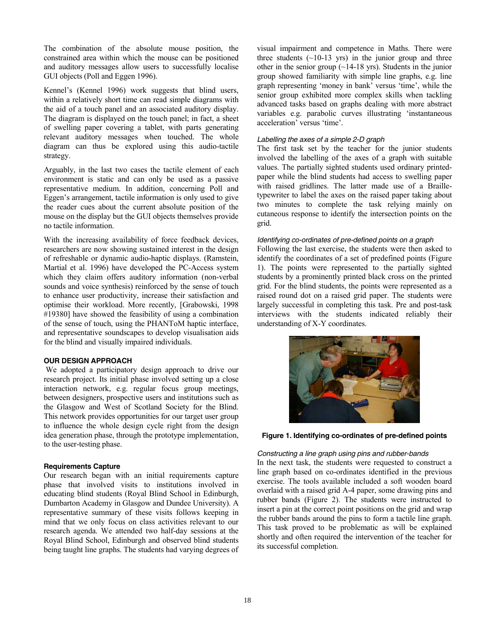The combination of the absolute mouse position, the constrained area within which the mouse can be positioned and auditory messages allow users to successfully localise GUI objects (Poll and Eggen 1996).

Kennel's (Kennel 1996) work suggests that blind users, within a relatively short time can read simple diagrams with the aid of a touch panel and an associated auditory display. The diagram is displayed on the touch panel; in fact, a sheet of swelling paper covering a tablet, with parts generating relevant auditory messages when touched. The whole diagram can thus be explored using this audio-tactile strategy.

Arguably, in the last two cases the tactile element of each environment is static and can only be used as a passive representative medium. In addition, concerning Poll and Eggen's arrangement, tactile information is only used to give the reader cues about the current absolute position of the mouse on the display but the GUI objects themselves provide no tactile information.

With the increasing availability of force feedback devices, researchers are now showing sustained interest in the design of refreshable or dynamic audio-haptic displays. (Ramstein, Martial et al. 1996) have developed the PC-Access system which they claim offers auditory information (non-verbal sounds and voice synthesis) reinforced by the sense of touch to enhance user productivity, increase their satisfaction and optimise their workload. More recently, [Grabowski, 1998 #19380] have showed the feasibility of using a combination of the sense of touch, using the PHANToM haptic interface, and representative soundscapes to develop visualisation aids for the blind and visually impaired individuals.

# **OUR DESIGN APPROACH**

 We adopted a participatory design approach to drive our research project. Its initial phase involved setting up a close interaction network, e.g. regular focus group meetings, between designers, prospective users and institutions such as the Glasgow and West of Scotland Society for the Blind. This network provides opportunities for our target user group to influence the whole design cycle right from the design idea generation phase, through the prototype implementation, to the user-testing phase.

# **Requirements Capture**

Our research began with an initial requirements capture phase that involved visits to institutions involved in educating blind students (Royal Blind School in Edinburgh, Dumbarton Academy in Glasgow and Dundee University). A representative summary of these visits follows keeping in mind that we only focus on class activities relevant to our research agenda. We attended two half-day sessions at the Royal Blind School, Edinburgh and observed blind students being taught line graphs. The students had varying degrees of visual impairment and competence in Maths. There were three students  $(\sim 10-13 \text{ yrs})$  in the junior group and three other in the senior group  $(\sim)14-18$  yrs). Students in the junior group showed familiarity with simple line graphs, e.g. line graph representing 'money in bank' versus 'time', while the senior group exhibited more complex skills when tackling advanced tasks based on graphs dealing with more abstract variables e.g. parabolic curves illustrating 'instantaneous acceleration' versus 'time'.

# *Labelling the axes of a simple 2-D graph*

The first task set by the teacher for the junior students involved the labelling of the axes of a graph with suitable values. The partially sighted students used ordinary printedpaper while the blind students had access to swelling paper with raised gridlines. The latter made use of a Brailletypewriter to label the axes on the raised paper taking about two minutes to complete the task relying mainly on cutaneous response to identify the intersection points on the grid.

# *Identifying co-ordinates of pre-defined points on a graph*

Following the last exercise, the students were then asked to identify the coordinates of a set of predefined points (Figure 1). The points were represented to the partially sighted students by a prominently printed black cross on the printed grid. For the blind students, the points were represented as a raised round dot on a raised grid paper. The students were largely successful in completing this task. Pre and post-task interviews with the students indicated reliably their understanding of X-Y coordinates.



**Figure 1. Identifying co-ordinates of pre-defined points** 

# *Constructing a line graph using pins and rubber-bands*

In the next task, the students were requested to construct a line graph based on co-ordinates identified in the previous exercise. The tools available included a soft wooden board overlaid with a raised grid A-4 paper, some drawing pins and rubber bands (Figure 2). The students were instructed to insert a pin at the correct point positions on the grid and wrap the rubber bands around the pins to form a tactile line graph. This task proved to be problematic as will be explained shortly and often required the intervention of the teacher for its successful completion.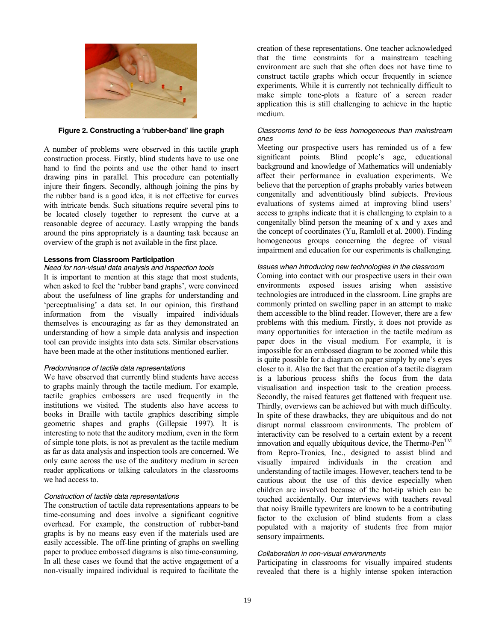

#### **Figure 2. Constructing a 'rubber-band' line graph**

A number of problems were observed in this tactile graph construction process. Firstly, blind students have to use one hand to find the points and use the other hand to insert drawing pins in parallel. This procedure can potentially injure their fingers. Secondly, although joining the pins by the rubber band is a good idea, it is not effective for curves with intricate bends. Such situations require several pins to be located closely together to represent the curve at a reasonable degree of accuracy. Lastly wrapping the bands around the pins appropriately is a daunting task because an overview of the graph is not available in the first place.

# **Lessons from Classroom Participation**

# *Need for non-visual data analysis and inspection tools*

It is important to mention at this stage that most students, when asked to feel the 'rubber band graphs', were convinced about the usefulness of line graphs for understanding and 'perceptualising' a data set. In our opinion, this firsthand information from the visually impaired individuals themselves is encouraging as far as they demonstrated an understanding of how a simple data analysis and inspection tool can provide insights into data sets. Similar observations have been made at the other institutions mentioned earlier

#### *Predominance of tactile data representations*

We have observed that currently blind students have access to graphs mainly through the tactile medium. For example, tactile graphics embossers are used frequently in the institutions we visited. The students also have access to books in Braille with tactile graphics describing simple geometric shapes and graphs (Gillepsie 1997). It is interesting to note that the auditory medium, even in the form of simple tone plots, is not as prevalent as the tactile medium as far as data analysis and inspection tools are concerned. We only came across the use of the auditory medium in screen reader applications or talking calculators in the classrooms we had access to.

#### *Construction of tactile data representations*

The construction of tactile data representations appears to be time-consuming and does involve a significant cognitive overhead. For example, the construction of rubber-band graphs is by no means easy even if the materials used are easily accessible. The off-line printing of graphs on swelling paper to produce embossed diagrams is also time-consuming. In all these cases we found that the active engagement of a non-visually impaired individual is required to facilitate the

creation of these representations. One teacher acknowledged that the time constraints for a mainstream teaching environment are such that she often does not have time to construct tactile graphs which occur frequently in science experiments. While it is currently not technically difficult to make simple tone-plots a feature of a screen reader application this is still challenging to achieve in the haptic medium.

#### *Classrooms tend to be less homogeneous than mainstream ones*

Meeting our prospective users has reminded us of a few significant points. Blind people's age, educational background and knowledge of Mathematics will undeniably affect their performance in evaluation experiments. We believe that the perception of graphs probably varies between congenitally and adventitiously blind subjects. Previous evaluations of systems aimed at improving blind users' access to graphs indicate that it is challenging to explain to a congenitally blind person the meaning of x and y axes and the concept of coordinates (Yu, Ramloll et al. 2000). Finding homogeneous groups concerning the degree of visual impairment and education for our experiments is challenging.

# *Issues when introducing new technologies in the classroom*

Coming into contact with our prospective users in their own environments exposed issues arising when assistive technologies are introduced in the classroom. Line graphs are commonly printed on swelling paper in an attempt to make them accessible to the blind reader. However, there are a few problems with this medium. Firstly, it does not provide as many opportunities for interaction in the tactile medium as paper does in the visual medium. For example, it is impossible for an embossed diagram to be zoomed while this is quite possible for a diagram on paper simply by one's eyes closer to it. Also the fact that the creation of a tactile diagram is a laborious process shifts the focus from the data visualisation and inspection task to the creation process. Secondly, the raised features get flattened with frequent use. Thirdly, overviews can be achieved but with much difficulty. In spite of these drawbacks, they are ubiquitous and do not disrupt normal classroom environments. The problem of interactivity can be resolved to a certain extent by a recent innovation and equally ubiquitous device, the Thermo-Pen<sup>TM</sup> from Repro-Tronics, Inc., designed to assist blind and visually impaired individuals in the creation and understanding of tactile images. However, teachers tend to be cautious about the use of this device especially when children are involved because of the hot-tip which can be touched accidentally. Our interviews with teachers reveal that noisy Braille typewriters are known to be a contributing factor to the exclusion of blind students from a class populated with a majority of students free from major sensory impairments.

#### *Collaboration in non-visual environments*

Participating in classrooms for visually impaired students revealed that there is a highly intense spoken interaction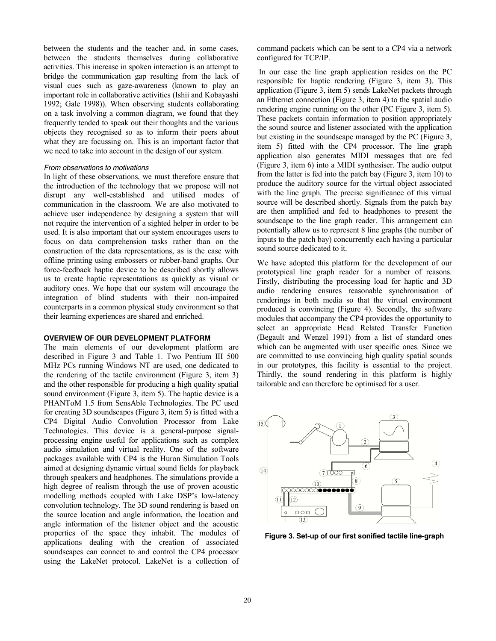between the students and the teacher and, in some cases, between the students themselves during collaborative activities. This increase in spoken interaction is an attempt to bridge the communication gap resulting from the lack of visual cues such as gaze-awareness (known to play an important role in collaborative activities (Ishii and Kobayashi 1992; Gale 1998)). When observing students collaborating on a task involving a common diagram, we found that they frequently tended to speak out their thoughts and the various objects they recognised so as to inform their peers about what they are focussing on. This is an important factor that we need to take into account in the design of our system.

#### *From observations to motivations*

In light of these observations, we must therefore ensure that the introduction of the technology that we propose will not disrupt any well-established and utilised modes of communication in the classroom. We are also motivated to achieve user independence by designing a system that will not require the intervention of a sighted helper in order to be used. It is also important that our system encourages users to focus on data comprehension tasks rather than on the construction of the data representations, as is the case with offline printing using embossers or rubber-band graphs. Our force-feedback haptic device to be described shortly allows us to create haptic representations as quickly as visual or auditory ones. We hope that our system will encourage the integration of blind students with their non-impaired counterparts in a common physical study environment so that their learning experiences are shared and enriched.

### **OVERVIEW OF OUR DEVELOPMENT PLATFORM**

The main elements of our development platform are described in Figure 3 and Table 1. Two Pentium III 500 MHz PCs running Windows NT are used, one dedicated to the rendering of the tactile environment (Figure 3, item 3) and the other responsible for producing a high quality spatial sound environment (Figure 3, item 5). The haptic device is a PHANToM 1.5 from SensAble Technologies. The PC used for creating 3D soundscapes (Figure 3, item 5) is fitted with a CP4 Digital Audio Convolution Processor from Lake Technologies. This device is a general-purpose signalprocessing engine useful for applications such as complex audio simulation and virtual reality. One of the software packages available with CP4 is the Huron Simulation Tools aimed at designing dynamic virtual sound fields for playback through speakers and headphones. The simulations provide a high degree of realism through the use of proven acoustic modelling methods coupled with Lake DSP's low-latency convolution technology. The 3D sound rendering is based on the source location and angle information, the location and angle information of the listener object and the acoustic properties of the space they inhabit. The modules of applications dealing with the creation of associated soundscapes can connect to and control the CP4 processor using the LakeNet protocol. LakeNet is a collection of command packets which can be sent to a CP4 via a network configured for TCP/IP.

 In our case the line graph application resides on the PC responsible for haptic rendering (Figure 3, item 3). This application (Figure 3, item 5) sends LakeNet packets through an Ethernet connection (Figure 3, item 4) to the spatial audio rendering engine running on the other (PC Figure 3, item 5). These packets contain information to position appropriately the sound source and listener associated with the application but existing in the soundscape managed by the PC (Figure 3, item 5) fitted with the CP4 processor. The line graph application also generates MIDI messages that are fed (Figure 3, item 6) into a MIDI synthesiser. The audio output from the latter is fed into the patch bay (Figure 3, item 10) to produce the auditory source for the virtual object associated with the line graph. The precise significance of this virtual source will be described shortly. Signals from the patch bay are then amplified and fed to headphones to present the soundscape to the line graph reader. This arrangement can potentially allow us to represent 8 line graphs (the number of inputs to the patch bay) concurrently each having a particular sound source dedicated to it.

We have adopted this platform for the development of our prototypical line graph reader for a number of reasons. Firstly, distributing the processing load for haptic and 3D audio rendering ensures reasonable synchronisation of renderings in both media so that the virtual environment produced is convincing (Figure 4). Secondly, the software modules that accompany the CP4 provides the opportunity to select an appropriate Head Related Transfer Function (Begault and Wenzel 1991) from a list of standard ones which can be augmented with user specific ones. Since we are committed to use convincing high quality spatial sounds in our prototypes, this facility is essential to the project. Thirdly, the sound rendering in this platform is highly tailorable and can therefore be optimised for a user.



**Figure 3. Set-up of our first sonified tactile line-graph**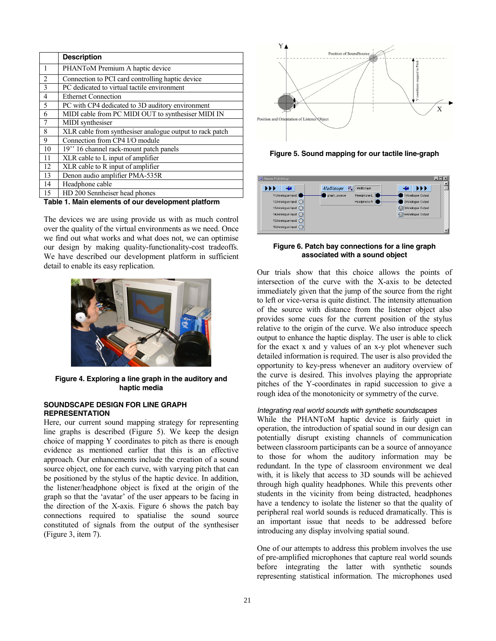|                | <b>Description</b>                                       |
|----------------|----------------------------------------------------------|
| 1              | PHANToM Premium A haptic device                          |
| $\overline{2}$ | Connection to PCI card controlling haptic device         |
| $\overline{3}$ | PC dedicated to virtual tactile environment              |
| $\overline{4}$ | <b>Ethernet Connection</b>                               |
| 5              | PC with CP4 dedicated to 3D auditory environment         |
| 6              | MIDI cable from PC MIDI OUT to synthesiser MIDI IN       |
| $\overline{7}$ | <b>MIDI</b> synthesiser                                  |
| 8              | XLR cable from synthesiser analogue output to rack patch |
| 9              | Connection from CP4 I/O module                           |
| 10             | 19" 16 channel rack-mount patch panels                   |
| 11             | XLR cable to L input of amplifier                        |
| 12             | XLR cable to R input of amplifier                        |
| 13             | Denon audio amplifier PMA-535R                           |
| 14             | Headphone cable                                          |
| 15             | HD 200 Sennheiser head phones                            |

**Table 1. Main elements of our development platform** 

The devices we are using provide us with as much control over the quality of the virtual environments as we need. Once we find out what works and what does not, we can optimise our design by making quality-functionality-cost tradeoffs. We have described our development platform in sufficient detail to enable its easy replication.



**Figure 4. Exploring a line graph in the auditory and haptic media** 

# **SOUNDSCAPE DESIGN FOR LINE GRAPH REPRESENTATION**

Here, our current sound mapping strategy for representing line graphs is described (Figure 5). We keep the design choice of mapping Y coordinates to pitch as there is enough evidence as mentioned earlier that this is an effective approach. Our enhancements include the creation of a sound source object, one for each curve, with varying pitch that can be positioned by the stylus of the haptic device. In addition, the listener/headphone object is fixed at the origin of the graph so that the 'avatar' of the user appears to be facing in the direction of the X-axis. Figure 6 shows the patch bay connections required to spatialise the sound source constituted of signals from the output of the synthesiser (Figure 3, item 7).



**Figure 5. Sound mapping for our tactile line-graph** 

| <b>B</b> Huron Patchbay                                                                                                                |                                                                              | $ \Box$ $\times$                                                                          |
|----------------------------------------------------------------------------------------------------------------------------------------|------------------------------------------------------------------------------|-------------------------------------------------------------------------------------------|
| -60<br>11/Analogue Input<br>12/Analogue Input (<br>13/Analogue Input<br>14/Analogue Input<br>15/Analogue Input<br>16/Analogue Input () | Ø,<br>Multiscape<br>MultiScape<br>graph_source<br>Headphone L<br>Headphone R | 11∖<br>1/Analogue Output<br>2/Analoque Output<br>3/Analogue Output<br>( 4/Analogue Output |

#### **Figure 6. Patch bay connections for a line graph associated with a sound object**

Our trials show that this choice allows the points of intersection of the curve with the X-axis to be detected immediately given that the jump of the source from the right to left or vice-versa is quite distinct. The intensity attenuation of the source with distance from the listener object also provides some cues for the current position of the stylus relative to the origin of the curve. We also introduce speech output to enhance the haptic display. The user is able to click for the exact x and y values of an x-y plot whenever such detailed information is required. The user is also provided the opportunity to key-press whenever an auditory overview of the curve is desired. This involves playing the appropriate pitches of the Y-coordinates in rapid succession to give a rough idea of the monotonicity or symmetry of the curve.

# *Integrating real world sounds with synthetic soundscapes*

While the PHANToM haptic device is fairly quiet in operation, the introduction of spatial sound in our design can potentially disrupt existing channels of communication between classroom participants can be a source of annoyance to those for whom the auditory information may be redundant. In the type of classroom environment we deal with, it is likely that access to 3D sounds will be achieved through high quality headphones. While this prevents other students in the vicinity from being distracted, headphones have a tendency to isolate the listener so that the quality of peripheral real world sounds is reduced dramatically. This is an important issue that needs to be addressed before introducing any display involving spatial sound.

One of our attempts to address this problem involves the use of pre-amplified microphones that capture real world sounds before integrating the latter with synthetic sounds representing statistical information. The microphones used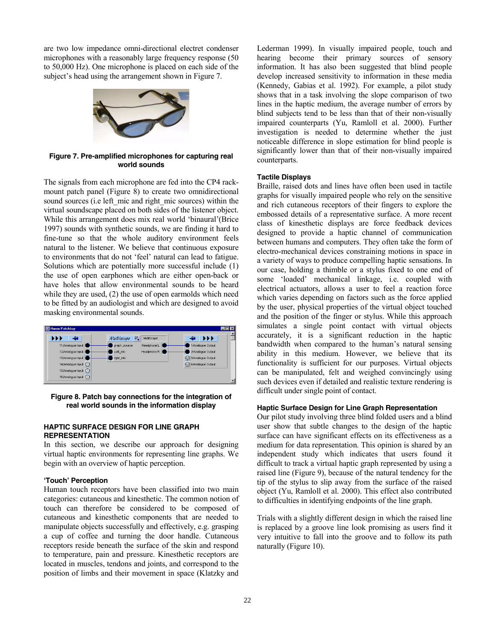are two low impedance omni-directional electret condenser microphones with a reasonably large frequency response (50 to 50,000 Hz). One microphone is placed on each side of the subject's head using the arrangement shown in Figure 7.



**Figure 7. Pre-amplified microphones for capturing real world sounds** 

The signals from each microphone are fed into the CP4 rackmount patch panel (Figure 8) to create two omnidirectional sound sources (i.e left mic and right mic sources) within the virtual soundscape placed on both sides of the listener object. While this arrangement does mix real world 'binaural'(Brice 1997) sounds with synthetic sounds, we are finding it hard to fine-tune so that the whole auditory environment feels natural to the listener. We believe that continuous exposure to environments that do not 'feel' natural can lead to fatigue. Solutions which are potentially more successful include (1) the use of open earphones which are either open-back or have holes that allow environmental sounds to be heard while they are used, (2) the use of open earmolds which need to be fitted by an audiologist and which are designed to avoid masking environmental sounds.



**Figure 8. Patch bay connections for the integration of real world sounds in the information display** 

# **HAPTIC SURFACE DESIGN FOR LINE GRAPH REPRESENTATION**

In this section, we describe our approach for designing virtual haptic environments for representing line graphs. We begin with an overview of haptic perception.

# **'Touch' Perception**

Human touch receptors have been classified into two main categories: cutaneous and kinesthetic. The common notion of touch can therefore be considered to be composed of cutaneous and kinesthetic components that are needed to manipulate objects successfully and effectively, e.g. grasping a cup of coffee and turning the door handle. Cutaneous receptors reside beneath the surface of the skin and respond to temperature, pain and pressure. Kinesthetic receptors are located in muscles, tendons and joints, and correspond to the position of limbs and their movement in space (Klatzky and

Lederman 1999). In visually impaired people, touch and hearing become their primary sources of sensory information. It has also been suggested that blind people develop increased sensitivity to information in these media (Kennedy, Gabias et al. 1992). For example, a pilot study shows that in a task involving the slope comparison of two lines in the haptic medium, the average number of errors by blind subjects tend to be less than that of their non-visually impaired counterparts (Yu, Ramloll et al. 2000). Further investigation is needed to determine whether the just noticeable difference in slope estimation for blind people is significantly lower than that of their non-visually impaired counterparts.

#### **Tactile Displays**

Braille, raised dots and lines have often been used in tactile graphs for visually impaired people who rely on the sensitive and rich cutaneous receptors of their fingers to explore the embossed details of a representative surface. A more recent class of kinesthetic displays are force feedback devices designed to provide a haptic channel of communication between humans and computers. They often take the form of electro-mechanical devices constraining motions in space in a variety of ways to produce compelling haptic sensations. In our case, holding a thimble or a stylus fixed to one end of some 'loaded' mechanical linkage, i.e. coupled with electrical actuators, allows a user to feel a reaction force which varies depending on factors such as the force applied by the user, physical properties of the virtual object touched and the position of the finger or stylus. While this approach simulates a single point contact with virtual objects accurately, it is a significant reduction in the haptic bandwidth when compared to the human's natural sensing ability in this medium. However, we believe that its functionality is sufficient for our purposes. Virtual objects can be manipulated, felt and weighed convincingly using such devices even if detailed and realistic texture rendering is difficult under single point of contact.

# **Haptic Surface Design for Line Graph Representation**

Our pilot study involving three blind folded users and a blind user show that subtle changes to the design of the haptic surface can have significant effects on its effectiveness as a medium for data representation. This opinion is shared by an independent study which indicates that users found it difficult to track a virtual haptic graph represented by using a raised line (Figure 9), because of the natural tendency for the tip of the stylus to slip away from the surface of the raised object (Yu, Ramloll et al. 2000). This effect also contributed to difficulties in identifying endpoints of the line graph.

Trials with a slightly different design in which the raised line is replaced by a groove line look promising as users find it very intuitive to fall into the groove and to follow its path naturally (Figure 10).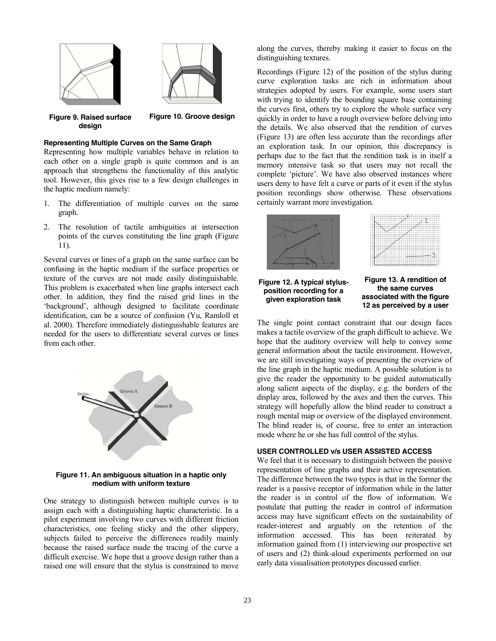

#### **Representing Multiple Curves on the Same Graph**

Representing how multiple variables behave in relation to each other on a single graph is quite common and is an approach that strengthens the functionality of this analytic tool. However, this gives rise to a few design challenges in the haptic medium namely:

- 1. The differentiation of multiple curves on the same graph.
- 2. The resolution of tactile ambiguities at intersection points of the curves constituting the line graph (Figure 11).

Several curves or lines of a graph on the same surface can be confusing in the haptic medium if the surface properties or texture of the curves are not made easily distinguishable. This problem is exacerbated when line graphs intersect each other. In addition, they find the raised grid lines in the 'background', although designed to facilitate coordinate identification, can be a source of confusion (Yu, Ramloll et al. 2000). Therefore immediately distinguishable features are needed for the users to differentiate several curves or lines from each other.



**Figure 11. An ambiguous situation in a haptic only medium with uniform texture** 

One strategy to distinguish between multiple curves is to assign each with a distinguishing haptic characteristic. In a pilot experiment involving two curves with different friction characteristics, one feeling sticky and the other slippery, subjects failed to perceive the differences readily mainly because the raised surface made the tracing of the curve a difficult exercise. We hope that a groove design rather than a raised one will ensure that the stylus is constrained to move along the curves, thereby making it easier to focus on the distinguishing textures.

Recordings (Figure 12) of the position of the stylus during curve exploration tasks are rich in information about strategies adopted by users. For example, some users start with trying to identify the bounding square base containing the curves first, others try to explore the whole surface very quickly in order to have a rough overview before delving into the details. We also observed that the rendition of curves (Figure 13) are often less accurate than the recordings after an exploration task. In our opinion, this discrepancy is perhaps due to the fact that the rendition task is in itself a memory intensive task so that users may not recall the complete 'picture'. We have also observed instances where users deny to have felt a curve or parts of it even if the stylus position recordings show otherwise. These observations certainly warrant more investigation.

| Figure 12. A typical stylus- | Figure 13. A rendition of |  |
|------------------------------|---------------------------|--|
|                              |                           |  |

**position recording for a given exploration task** 

**the same curves associated with the figure 12 as perceived by a user** 

The single point contact constraint that our design faces makes a tactile overview of the graph difficult to achieve. We hope that the auditory overview will help to convey some general information about the tactile environment. However, we are still investigating ways of presenting the overview of the line graph in the haptic medium. A possible solution is to give the reader the opportunity to be guided automatically along salient aspects of the display, e.g. the borders of the display area, followed by the axes and then the curves. This strategy will hopefully allow the blind reader to construct a rough mental map or overview of the displayed environment. The blind reader is, of course, free to enter an interaction mode where he or she has full control of the stylus.

# **USER CONTROLLED v/s USER ASSISTED ACCESS**

We feel that it is necessary to distinguish between the passive representation of line graphs and their active representation. The difference between the two types is that in the former the reader is a passive receptor of information while in the latter the reader is in control of the flow of information. We postulate that putting the reader in control of information access may have significant effects on the sustainability of reader-interest and arguably on the retention of the information accessed. This has been reiterated by information gained from (1) interviewing our prospective set of users and (2) think-aloud experiments performed on our early data visualisation prototypes discussed earlier.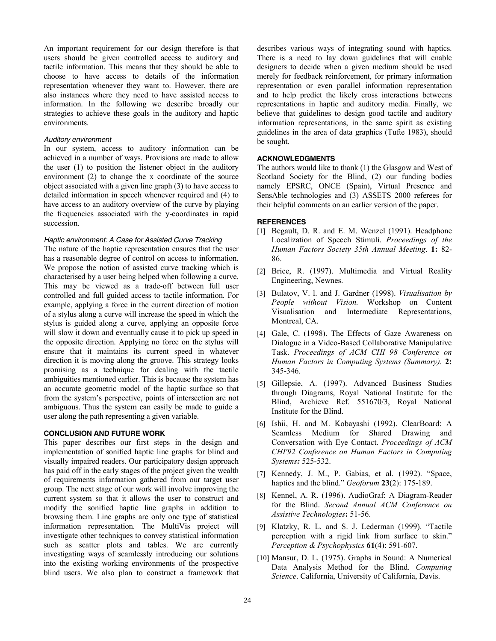An important requirement for our design therefore is that users should be given controlled access to auditory and tactile information. This means that they should be able to choose to have access to details of the information representation whenever they want to. However, there are also instances where they need to have assisted access to information. In the following we describe broadly our strategies to achieve these goals in the auditory and haptic environments.

#### *Auditory environment*

In our system, access to auditory information can be achieved in a number of ways. Provisions are made to allow the user (1) to position the listener object in the auditory environment (2) to change the x coordinate of the source object associated with a given line graph (3) to have access to detailed information in speech whenever required and (4) to have access to an auditory overview of the curve by playing the frequencies associated with the y-coordinates in rapid succession.

# *Haptic environment: A Case for Assisted Curve Tracking*

The nature of the haptic representation ensures that the user has a reasonable degree of control on access to information. We propose the notion of assisted curve tracking which is characterised by a user being helped when following a curve. This may be viewed as a trade-off between full user controlled and full guided access to tactile information. For example, applying a force in the current direction of motion of a stylus along a curve will increase the speed in which the stylus is guided along a curve, applying an opposite force will slow it down and eventually cause it to pick up speed in the opposite direction. Applying no force on the stylus will ensure that it maintains its current speed in whatever direction it is moving along the groove. This strategy looks promising as a technique for dealing with the tactile ambiguities mentioned earlier. This is because the system has an accurate geometric model of the haptic surface so that from the system's perspective, points of intersection are not ambiguous. Thus the system can easily be made to guide a user along the path representing a given variable.

#### **CONCLUSION AND FUTURE WORK**

This paper describes our first steps in the design and implementation of sonified haptic line graphs for blind and visually impaired readers. Our participatory design approach has paid off in the early stages of the project given the wealth of requirements information gathered from our target user group. The next stage of our work will involve improving the current system so that it allows the user to construct and modify the sonified haptic line graphs in addition to browsing them. Line graphs are only one type of statistical information representation. The MultiVis project will investigate other techniques to convey statistical information such as scatter plots and tables. We are currently investigating ways of seamlessly introducing our solutions into the existing working environments of the prospective blind users. We also plan to construct a framework that

describes various ways of integrating sound with haptics. There is a need to lay down guidelines that will enable designers to decide when a given medium should be used merely for feedback reinforcement, for primary information representation or even parallel information representation and to help predict the likely cross interactions betweens representations in haptic and auditory media. Finally, we believe that guidelines to design good tactile and auditory information representations, in the same spirit as existing guidelines in the area of data graphics (Tufte 1983), should be sought.

#### **ACKNOWLEDGMENTS**

The authors would like to thank (1) the Glasgow and West of Scotland Society for the Blind, (2) our funding bodies namely EPSRC, ONCE (Spain), Virtual Presence and SensAble technologies and (3) ASSETS 2000 referees for their helpful comments on an earlier version of the paper.

#### **REFERENCES**

- [1] Begault, D. R. and E. M. Wenzel (1991). Headphone Localization of Speech Stimuli. *Proceedings of the Human Factors Society 35th Annual Meeting*. **1:** 82- 86.
- [2] Brice, R. (1997). Multimedia and Virtual Reality Engineering, Newnes.
- [3] Bulatov, V. l. and J. Gardner (1998). *Visualisation by People without Vision.* Workshop on Content Visualisation and Intermediate Representations, Montreal, CA.
- [4] Gale, C. (1998). The Effects of Gaze Awareness on Dialogue in a Video-Based Collaborative Manipulative Task. *Proceedings of ACM CHI 98 Conference on Human Factors in Computing Systems (Summary).* **2:**  345-346.
- [5] Gillepsie, A. (1997). Advanced Business Studies through Diagrams, Royal National Institute for the Blind, Archieve Ref. 551670/3, Royal National Institute for the Blind.
- [6] Ishii, H. and M. Kobayashi (1992). ClearBoard: A Seamless Medium for Shared Drawing and Conversation with Eye Contact. *Proceedings of ACM CHI'92 Conference on Human Factors in Computing Systems:* 525-532.
- [7] Kennedy, J. M., P. Gabias, et al. (1992). "Space, haptics and the blind." *Geoforum* **23**(2): 175-189.
- [8] Kennel, A. R. (1996). AudioGraf: A Diagram-Reader for the Blind. *Second Annual ACM Conference on Assistive Technologies***:** 51-56.
- [9] Klatzky, R. L. and S. J. Lederman (1999). "Tactile perception with a rigid link from surface to skin." *Perception & Psychophysics* **61**(4): 591-607.
- [10] Mansur, D. L. (1975). Graphs in Sound: A Numerical Data Analysis Method for the Blind. *Computing Science*. California, University of California, Davis.